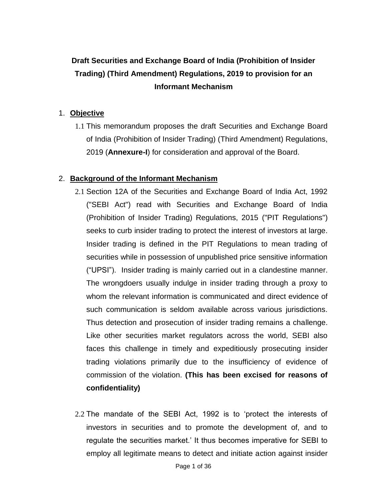# **Draft Securities and Exchange Board of India (Prohibition of Insider Trading) (Third Amendment) Regulations, 2019 to provision for an Informant Mechanism**

### 1. **Objective**

1.1 This memorandum proposes the draft Securities and Exchange Board of India (Prohibition of Insider Trading) (Third Amendment) Regulations, 2019 (**Annexure-I**) for consideration and approval of the Board.

## 2. **Background of the Informant Mechanism**

- 2.1 Section 12A of the Securities and Exchange Board of India Act, 1992 ("SEBI Act") read with Securities and Exchange Board of India (Prohibition of Insider Trading) Regulations, 2015 ("PIT Regulations") seeks to curb insider trading to protect the interest of investors at large. Insider trading is defined in the PIT Regulations to mean trading of securities while in possession of unpublished price sensitive information ("UPSI"). Insider trading is mainly carried out in a clandestine manner. The wrongdoers usually indulge in insider trading through a proxy to whom the relevant information is communicated and direct evidence of such communication is seldom available across various jurisdictions. Thus detection and prosecution of insider trading remains a challenge. Like other securities market regulators across the world, SEBI also faces this challenge in timely and expeditiously prosecuting insider trading violations primarily due to the insufficiency of evidence of commission of the violation. **(This has been excised for reasons of confidentiality)**
- 2.2 The mandate of the SEBI Act, 1992 is to 'protect the interests of investors in securities and to promote the development of, and to regulate the securities market.' It thus becomes imperative for SEBI to employ all legitimate means to detect and initiate action against insider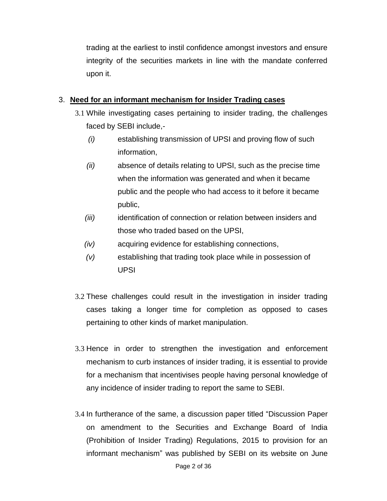trading at the earliest to instil confidence amongst investors and ensure integrity of the securities markets in line with the mandate conferred upon it.

## 3. **Need for an informant mechanism for Insider Trading cases**

- 3.1 While investigating cases pertaining to insider trading, the challenges faced by SEBI include,-
	- *(i)* establishing transmission of UPSI and proving flow of such information,
	- *(ii)* absence of details relating to UPSI, such as the precise time when the information was generated and when it became public and the people who had access to it before it became public,
	- *(iii)* identification of connection or relation between insiders and those who traded based on the UPSI,
	- *(iv)* acquiring evidence for establishing connections,
	- *(v)* establishing that trading took place while in possession of UPSI
- 3.2 These challenges could result in the investigation in insider trading cases taking a longer time for completion as opposed to cases pertaining to other kinds of market manipulation.
- 3.3 Hence in order to strengthen the investigation and enforcement mechanism to curb instances of insider trading, it is essential to provide for a mechanism that incentivises people having personal knowledge of any incidence of insider trading to report the same to SEBI.
- 3.4 In furtherance of the same, a discussion paper titled "Discussion Paper on amendment to the Securities and Exchange Board of India (Prohibition of Insider Trading) Regulations, 2015 to provision for an informant mechanism" was published by SEBI on its website on June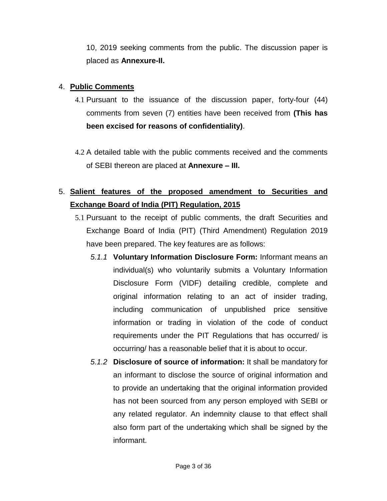10, 2019 seeking comments from the public. The discussion paper is placed as **Annexure-II.**

## 4. **Public Comments**

- 4.1 Pursuant to the issuance of the discussion paper, forty-four (44) comments from seven (7) entities have been received from **(This has been excised for reasons of confidentiality)**.
- 4.2 A detailed table with the public comments received and the comments of SEBI thereon are placed at **Annexure – III.**

## 5. **Salient features of the proposed amendment to Securities and Exchange Board of India (PIT) Regulation, 2015**

- 5.1 Pursuant to the receipt of public comments, the draft Securities and Exchange Board of India (PIT) (Third Amendment) Regulation 2019 have been prepared. The key features are as follows:
	- *5.1.1* **Voluntary Information Disclosure Form:** Informant means an individual(s) who voluntarily submits a Voluntary Information Disclosure Form (VIDF) detailing credible, complete and original information relating to an act of insider trading, including communication of unpublished price sensitive information or trading in violation of the code of conduct requirements under the PIT Regulations that has occurred/ is occurring/ has a reasonable belief that it is about to occur.
	- *5.1.2* **Disclosure of source of information:** It shall be mandatory for an informant to disclose the source of original information and to provide an undertaking that the original information provided has not been sourced from any person employed with SEBI or any related regulator. An indemnity clause to that effect shall also form part of the undertaking which shall be signed by the informant.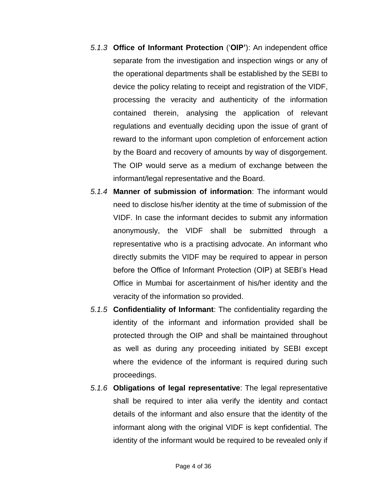- *5.1.3* **Office of Informant Protection** ('**OIP'**): An independent office separate from the investigation and inspection wings or any of the operational departments shall be established by the SEBI to device the policy relating to receipt and registration of the VIDF, processing the veracity and authenticity of the information contained therein, analysing the application of relevant regulations and eventually deciding upon the issue of grant of reward to the informant upon completion of enforcement action by the Board and recovery of amounts by way of disgorgement. The OIP would serve as a medium of exchange between the informant/legal representative and the Board.
- *5.1.4* **Manner of submission of information**: The informant would need to disclose his/her identity at the time of submission of the VIDF. In case the informant decides to submit any information anonymously, the VIDF shall be submitted through a representative who is a practising advocate. An informant who directly submits the VIDF may be required to appear in person before the Office of Informant Protection (OIP) at SEBI's Head Office in Mumbai for ascertainment of his/her identity and the veracity of the information so provided.
- *5.1.5* **Confidentiality of Informant**: The confidentiality regarding the identity of the informant and information provided shall be protected through the OIP and shall be maintained throughout as well as during any proceeding initiated by SEBI except where the evidence of the informant is required during such proceedings.
- *5.1.6* **Obligations of legal representative**: The legal representative shall be required to inter alia verify the identity and contact details of the informant and also ensure that the identity of the informant along with the original VIDF is kept confidential. The identity of the informant would be required to be revealed only if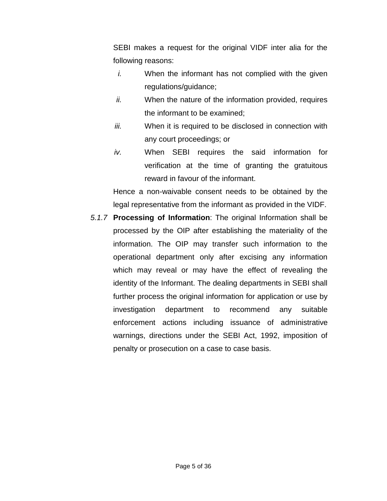SEBI makes a request for the original VIDF inter alia for the following reasons:

- *i.* When the informant has not complied with the given regulations/guidance;
- *ii.* When the nature of the information provided, requires the informant to be examined;
- *iii.* When it is required to be disclosed in connection with any court proceedings; or
- *iv.* When SEBI requires the said information for verification at the time of granting the gratuitous reward in favour of the informant.

Hence a non-waivable consent needs to be obtained by the legal representative from the informant as provided in the VIDF.

*5.1.7* **Processing of Information**: The original Information shall be processed by the OIP after establishing the materiality of the information. The OIP may transfer such information to the operational department only after excising any information which may reveal or may have the effect of revealing the identity of the Informant. The dealing departments in SEBI shall further process the original information for application or use by investigation department to recommend any suitable enforcement actions including issuance of administrative warnings, directions under the SEBI Act, 1992, imposition of penalty or prosecution on a case to case basis.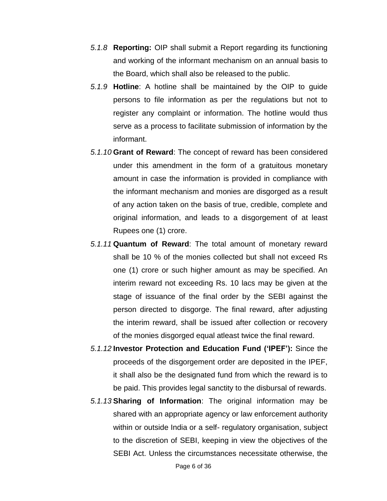- *5.1.8* **Reporting:** OIP shall submit a Report regarding its functioning and working of the informant mechanism on an annual basis to the Board, which shall also be released to the public.
- *5.1.9* **Hotline**: A hotline shall be maintained by the OIP to guide persons to file information as per the regulations but not to register any complaint or information. The hotline would thus serve as a process to facilitate submission of information by the informant.
- *5.1.10* **Grant of Reward**: The concept of reward has been considered under this amendment in the form of a gratuitous monetary amount in case the information is provided in compliance with the informant mechanism and monies are disgorged as a result of any action taken on the basis of true, credible, complete and original information, and leads to a disgorgement of at least Rupees one (1) crore.
- *5.1.11* **Quantum of Reward**: The total amount of monetary reward shall be 10 % of the monies collected but shall not exceed Rs one (1) crore or such higher amount as may be specified. An interim reward not exceeding Rs. 10 lacs may be given at the stage of issuance of the final order by the SEBI against the person directed to disgorge. The final reward, after adjusting the interim reward, shall be issued after collection or recovery of the monies disgorged equal atleast twice the final reward.
- *5.1.12* **Investor Protection and Education Fund ('IPEF'):** Since the proceeds of the disgorgement order are deposited in the IPEF, it shall also be the designated fund from which the reward is to be paid. This provides legal sanctity to the disbursal of rewards.
- *5.1.13* **Sharing of Information**: The original information may be shared with an appropriate agency or law enforcement authority within or outside India or a self- regulatory organisation, subject to the discretion of SEBI, keeping in view the objectives of the SEBI Act. Unless the circumstances necessitate otherwise, the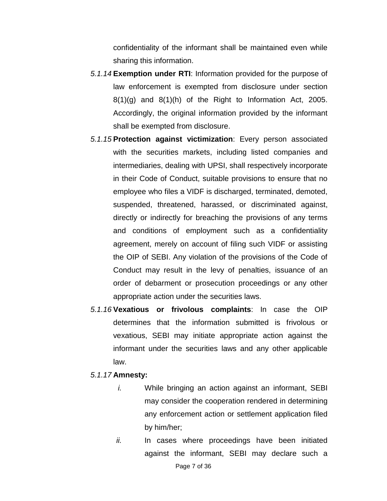confidentiality of the informant shall be maintained even while sharing this information.

- *5.1.14* **Exemption under RTI**: Information provided for the purpose of law enforcement is exempted from disclosure under section  $8(1)(g)$  and  $8(1)(h)$  of the Right to Information Act, 2005. Accordingly, the original information provided by the informant shall be exempted from disclosure.
- *5.1.15* **Protection against victimization**: Every person associated with the securities markets, including listed companies and intermediaries, dealing with UPSI, shall respectively incorporate in their Code of Conduct, suitable provisions to ensure that no employee who files a VIDF is discharged, terminated, demoted, suspended, threatened, harassed, or discriminated against, directly or indirectly for breaching the provisions of any terms and conditions of employment such as a confidentiality agreement, merely on account of filing such VIDF or assisting the OIP of SEBI. Any violation of the provisions of the Code of Conduct may result in the levy of penalties, issuance of an order of debarment or prosecution proceedings or any other appropriate action under the securities laws.
- *5.1.16* **Vexatious or frivolous complaints**: In case the OIP determines that the information submitted is frivolous or vexatious, SEBI may initiate appropriate action against the informant under the securities laws and any other applicable law.
- *5.1.17* **Amnesty:**
	- *i.* While bringing an action against an informant, SEBI may consider the cooperation rendered in determining any enforcement action or settlement application filed by him/her;
	- *ii.* In cases where proceedings have been initiated against the informant, SEBI may declare such a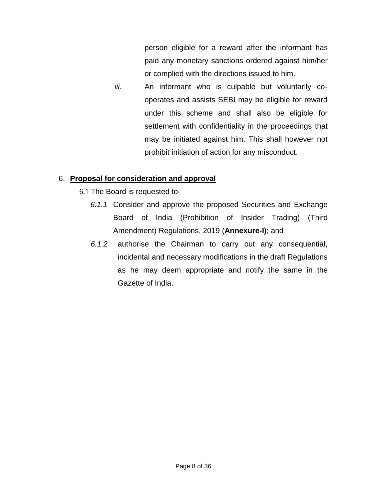person eligible for a reward after the informant has paid any monetary sanctions ordered against him/her or complied with the directions issued to him.

*iii.* An informant who is culpable but voluntarily cooperates and assists SEBI may be eligible for reward under this scheme and shall also be eligible for settlement with confidentiality in the proceedings that may be initiated against him. This shall however not prohibit initiation of action for any misconduct.

## 6. **Proposal for consideration and approval**

- 6.1 The Board is requested to-
	- *6.1.1* Consider and approve the proposed Securities and Exchange Board of India (Prohibition of Insider Trading) (Third Amendment) Regulations, 2019 (**Annexure-I)**; and
	- *6.1.2* authorise the Chairman to carry out any consequential, incidental and necessary modifications in the draft Regulations as he may deem appropriate and notify the same in the Gazette of India.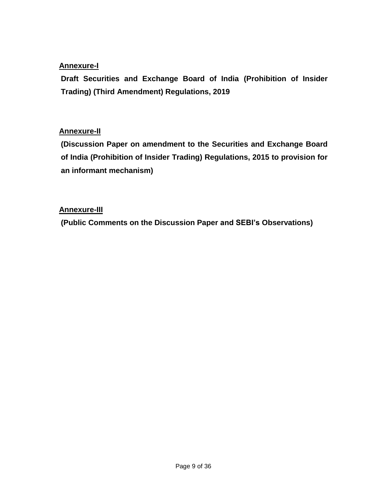## **Annexure-I**

**Draft Securities and Exchange Board of India (Prohibition of Insider Trading) (Third Amendment) Regulations, 2019**

## **Annexure-II**

**(Discussion Paper on amendment to the Securities and Exchange Board of India (Prohibition of Insider Trading) Regulations, 2015 to provision for an informant mechanism)**

## **Annexure-III**

**(Public Comments on the Discussion Paper and SEBI's Observations)**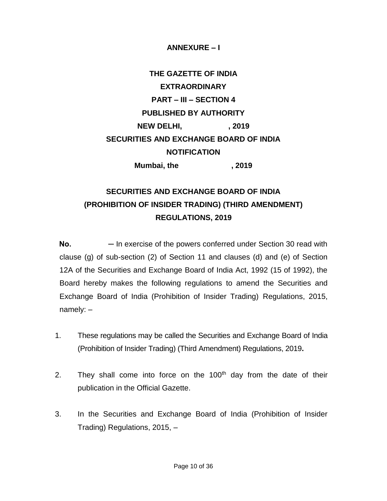### **ANNEXURE – I**

# **THE GAZETTE OF INDIA EXTRAORDINARY PART – III – SECTION 4 PUBLISHED BY AUTHORITY NEW DELHI, 7019 SECURITIES AND EXCHANGE BOARD OF INDIA NOTIFICATION Mumbai, the , 2019**

**SECURITIES AND EXCHANGE BOARD OF INDIA (PROHIBITION OF INSIDER TRADING) (THIRD AMENDMENT)** 

## **REGULATIONS, 2019**

**No.** — In exercise of the powers conferred under Section 30 read with clause (g) of sub-section (2) of Section 11 and clauses (d) and (e) of Section 12A of the Securities and Exchange Board of India Act, 1992 (15 of 1992), the Board hereby makes the following regulations to amend the Securities and Exchange Board of India (Prohibition of Insider Trading) Regulations, 2015, namely: –

- 1. These regulations may be called the Securities and Exchange Board of India (Prohibition of Insider Trading) (Third Amendment) Regulations, 2019**.**
- 2. They shall come into force on the  $100<sup>th</sup>$  day from the date of their publication in the Official Gazette.
- 3. In the Securities and Exchange Board of India (Prohibition of Insider Trading) Regulations, 2015, –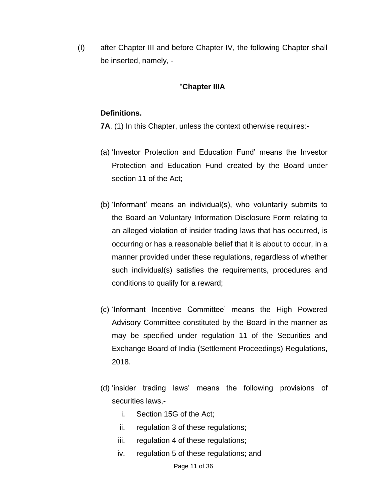(I) after Chapter III and before Chapter IV, the following Chapter shall be inserted, namely, -

#### "**Chapter IIIA**

#### **Definitions.**

**7A**. (1) In this Chapter, unless the context otherwise requires:-

- (a) 'Investor Protection and Education Fund' means the Investor Protection and Education Fund created by the Board under section 11 of the Act;
- (b) 'Informant' means an individual(s), who voluntarily submits to the Board an Voluntary Information Disclosure Form relating to an alleged violation of insider trading laws that has occurred, is occurring or has a reasonable belief that it is about to occur, in a manner provided under these regulations, regardless of whether such individual(s) satisfies the requirements, procedures and conditions to qualify for a reward;
- (c) 'Informant Incentive Committee' means the High Powered Advisory Committee constituted by the Board in the manner as may be specified under regulation 11 of the Securities and Exchange Board of India (Settlement Proceedings) Regulations, 2018.
- (d) 'insider trading laws' means the following provisions of securities laws,
	- i. Section 15G of the Act;
	- ii. regulation 3 of these regulations;
	- iii. regulation 4 of these regulations;
	- iv. regulation 5 of these regulations; and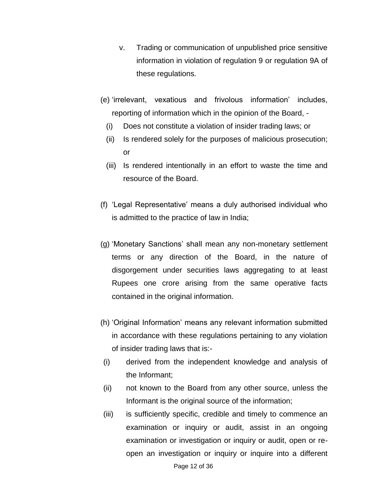- v. Trading or communication of unpublished price sensitive information in violation of regulation 9 or regulation 9A of these regulations.
- (e) 'irrelevant, vexatious and frivolous information' includes, reporting of information which in the opinion of the Board, -
	- (i) Does not constitute a violation of insider trading laws; or
	- (ii) Is rendered solely for the purposes of malicious prosecution; or
	- (iii) Is rendered intentionally in an effort to waste the time and resource of the Board.
- (f) 'Legal Representative' means a duly authorised individual who is admitted to the practice of law in India;
- (g) 'Monetary Sanctions' shall mean any non-monetary settlement terms or any direction of the Board, in the nature of disgorgement under securities laws aggregating to at least Rupees one crore arising from the same operative facts contained in the original information.
- (h) 'Original Information' means any relevant information submitted in accordance with these regulations pertaining to any violation of insider trading laws that is:-
- (i) derived from the independent knowledge and analysis of the Informant;
- (ii) not known to the Board from any other source, unless the Informant is the original source of the information;
- (iii) is sufficiently specific, credible and timely to commence an examination or inquiry or audit, assist in an ongoing examination or investigation or inquiry or audit, open or reopen an investigation or inquiry or inquire into a different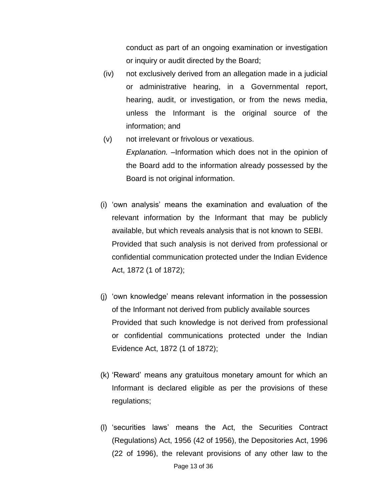conduct as part of an ongoing examination or investigation or inquiry or audit directed by the Board;

- (iv) not exclusively derived from an allegation made in a judicial or administrative hearing, in a Governmental report, hearing, audit, or investigation, or from the news media, unless the Informant is the original source of the information; and
- (v) not irrelevant or frivolous or vexatious. *Explanation. –*Information which does not in the opinion of the Board add to the information already possessed by the Board is not original information.
- (i) 'own analysis' means the examination and evaluation of the relevant information by the Informant that may be publicly available, but which reveals analysis that is not known to SEBI. Provided that such analysis is not derived from professional or confidential communication protected under the Indian Evidence Act, 1872 (1 of 1872);
- (j) 'own knowledge' means relevant information in the possession of the Informant not derived from publicly available sources Provided that such knowledge is not derived from professional or confidential communications protected under the Indian Evidence Act, 1872 (1 of 1872);
- (k) 'Reward' means any gratuitous monetary amount for which an Informant is declared eligible as per the provisions of these regulations;
- (l) 'securities laws' means the Act, the Securities Contract (Regulations) Act, 1956 (42 of 1956), the Depositories Act, 1996 (22 of 1996), the relevant provisions of any other law to the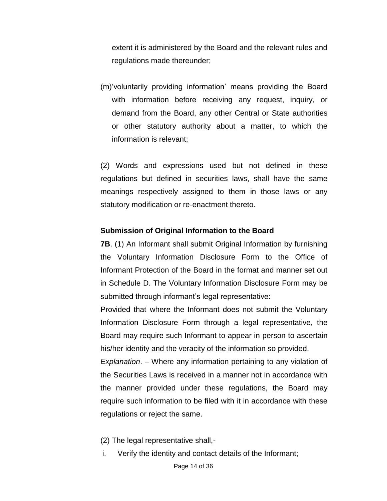extent it is administered by the Board and the relevant rules and regulations made thereunder;

(m)'voluntarily providing information' means providing the Board with information before receiving any request, inquiry, or demand from the Board, any other Central or State authorities or other statutory authority about a matter, to which the information is relevant;

(2) Words and expressions used but not defined in these regulations but defined in securities laws, shall have the same meanings respectively assigned to them in those laws or any statutory modification or re-enactment thereto.

#### **Submission of Original Information to the Board**

**7B**. (1) An Informant shall submit Original Information by furnishing the Voluntary Information Disclosure Form to the Office of Informant Protection of the Board in the format and manner set out in Schedule D. The Voluntary Information Disclosure Form may be submitted through informant's legal representative:

Provided that where the Informant does not submit the Voluntary Information Disclosure Form through a legal representative, the Board may require such Informant to appear in person to ascertain his/her identity and the veracity of the information so provided.

*Explanation*. – Where any information pertaining to any violation of the Securities Laws is received in a manner not in accordance with the manner provided under these regulations, the Board may require such information to be filed with it in accordance with these regulations or reject the same.

- (2) The legal representative shall,-
- i. Verify the identity and contact details of the Informant;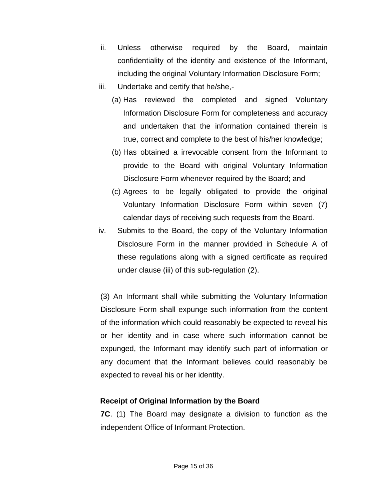- ii. Unless otherwise required by the Board, maintain confidentiality of the identity and existence of the Informant, including the original Voluntary Information Disclosure Form;
- iii. Undertake and certify that he/she,-
	- (a) Has reviewed the completed and signed Voluntary Information Disclosure Form for completeness and accuracy and undertaken that the information contained therein is true, correct and complete to the best of his/her knowledge;
	- (b) Has obtained a irrevocable consent from the Informant to provide to the Board with original Voluntary Information Disclosure Form whenever required by the Board; and
	- (c) Agrees to be legally obligated to provide the original Voluntary Information Disclosure Form within seven (7) calendar days of receiving such requests from the Board.
- iv. Submits to the Board, the copy of the Voluntary Information Disclosure Form in the manner provided in Schedule A of these regulations along with a signed certificate as required under clause (iii) of this sub-regulation (2).

(3) An Informant shall while submitting the Voluntary Information Disclosure Form shall expunge such information from the content of the information which could reasonably be expected to reveal his or her identity and in case where such information cannot be expunged, the Informant may identify such part of information or any document that the Informant believes could reasonably be expected to reveal his or her identity.

## **Receipt of Original Information by the Board**

**7C**. (1) The Board may designate a division to function as the independent Office of Informant Protection.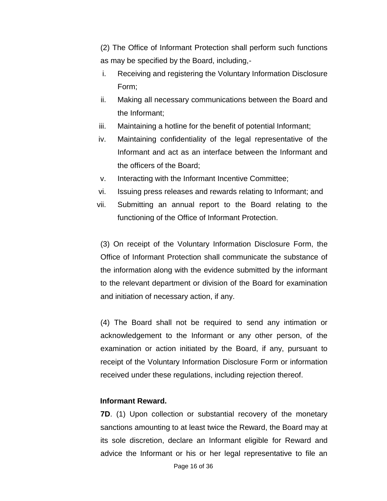(2) The Office of Informant Protection shall perform such functions as may be specified by the Board, including,-

- i. Receiving and registering the Voluntary Information Disclosure Form;
- ii. Making all necessary communications between the Board and the Informant;
- iii. Maintaining a hotline for the benefit of potential Informant;
- iv. Maintaining confidentiality of the legal representative of the Informant and act as an interface between the Informant and the officers of the Board;
- v. Interacting with the Informant Incentive Committee;
- vi. Issuing press releases and rewards relating to Informant; and
- vii. Submitting an annual report to the Board relating to the functioning of the Office of Informant Protection.

(3) On receipt of the Voluntary Information Disclosure Form, the Office of Informant Protection shall communicate the substance of the information along with the evidence submitted by the informant to the relevant department or division of the Board for examination and initiation of necessary action, if any.

(4) The Board shall not be required to send any intimation or acknowledgement to the Informant or any other person, of the examination or action initiated by the Board, if any, pursuant to receipt of the Voluntary Information Disclosure Form or information received under these regulations, including rejection thereof.

#### **Informant Reward.**

**7D**. (1) Upon collection or substantial recovery of the monetary sanctions amounting to at least twice the Reward, the Board may at its sole discretion, declare an Informant eligible for Reward and advice the Informant or his or her legal representative to file an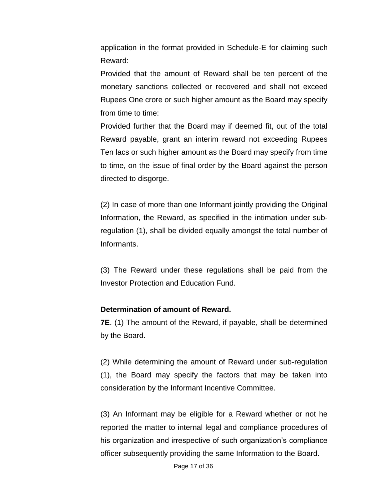application in the format provided in Schedule-E for claiming such Reward:

Provided that the amount of Reward shall be ten percent of the monetary sanctions collected or recovered and shall not exceed Rupees One crore or such higher amount as the Board may specify from time to time:

Provided further that the Board may if deemed fit, out of the total Reward payable, grant an interim reward not exceeding Rupees Ten lacs or such higher amount as the Board may specify from time to time, on the issue of final order by the Board against the person directed to disgorge.

(2) In case of more than one Informant jointly providing the Original Information, the Reward, as specified in the intimation under subregulation (1), shall be divided equally amongst the total number of Informants.

(3) The Reward under these regulations shall be paid from the Investor Protection and Education Fund.

#### **Determination of amount of Reward.**

**7E**. (1) The amount of the Reward, if payable, shall be determined by the Board.

(2) While determining the amount of Reward under sub-regulation (1), the Board may specify the factors that may be taken into consideration by the Informant Incentive Committee.

(3) An Informant may be eligible for a Reward whether or not he reported the matter to internal legal and compliance procedures of his organization and irrespective of such organization's compliance officer subsequently providing the same Information to the Board.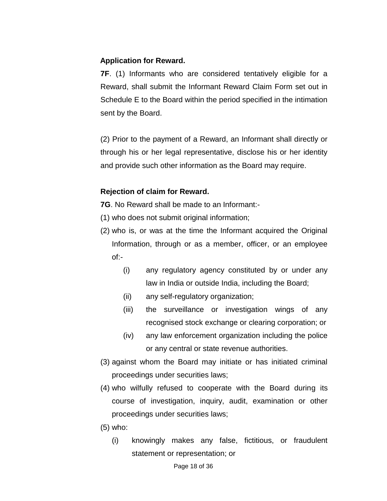#### **Application for Reward.**

**7F**. (1) Informants who are considered tentatively eligible for a Reward, shall submit the Informant Reward Claim Form set out in Schedule E to the Board within the period specified in the intimation sent by the Board.

(2) Prior to the payment of a Reward, an Informant shall directly or through his or her legal representative, disclose his or her identity and provide such other information as the Board may require.

#### **Rejection of claim for Reward.**

**7G**. No Reward shall be made to an Informant:-

- (1) who does not submit original information;
- (2) who is, or was at the time the Informant acquired the Original Information, through or as a member, officer, or an employee of:-
	- (i) any regulatory agency constituted by or under any law in India or outside India, including the Board;
	- (ii) any self-regulatory organization;
	- (iii) the surveillance or investigation wings of any recognised stock exchange or clearing corporation; or
	- (iv) any law enforcement organization including the police or any central or state revenue authorities.
- (3) against whom the Board may initiate or has initiated criminal proceedings under securities laws;
- (4) who wilfully refused to cooperate with the Board during its course of investigation, inquiry, audit, examination or other proceedings under securities laws;
- (5) who:
	- (i) knowingly makes any false, fictitious, or fraudulent statement or representation; or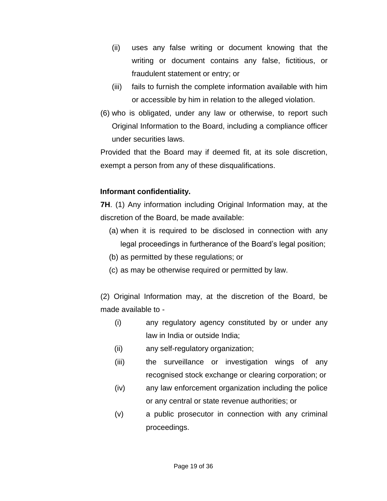- (ii) uses any false writing or document knowing that the writing or document contains any false, fictitious, or fraudulent statement or entry; or
- (iii) fails to furnish the complete information available with him or accessible by him in relation to the alleged violation.
- (6) who is obligated, under any law or otherwise, to report such Original Information to the Board, including a compliance officer under securities laws.

Provided that the Board may if deemed fit, at its sole discretion, exempt a person from any of these disqualifications.

## **Informant confidentiality.**

**7H**. (1) Any information including Original Information may, at the discretion of the Board, be made available:

- (a) when it is required to be disclosed in connection with any legal proceedings in furtherance of the Board's legal position;
- (b) as permitted by these regulations; or
- (c) as may be otherwise required or permitted by law.

(2) Original Information may, at the discretion of the Board, be made available to -

- (i) any regulatory agency constituted by or under any law in India or outside India;
- (ii) any self-regulatory organization;
- (iii) the surveillance or investigation wings of any recognised stock exchange or clearing corporation; or
- (iv) any law enforcement organization including the police or any central or state revenue authorities; or
- (v) a public prosecutor in connection with any criminal proceedings.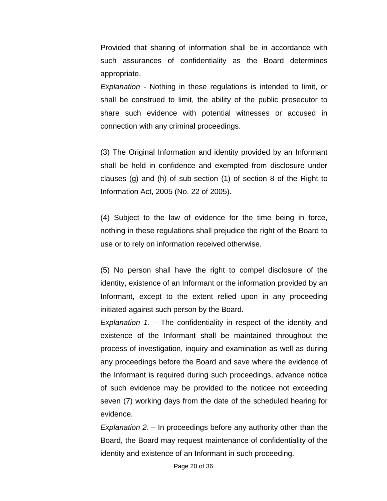Provided that sharing of information shall be in accordance with such assurances of confidentiality as the Board determines appropriate.

*Explanation* - Nothing in these regulations is intended to limit, or shall be construed to limit, the ability of the public prosecutor to share such evidence with potential witnesses or accused in connection with any criminal proceedings.

(3) The Original Information and identity provided by an Informant shall be held in confidence and exempted from disclosure under clauses (g) and (h) of sub-section (1) of section 8 of the Right to Information Act, 2005 (No. 22 of 2005).

(4) Subject to the law of evidence for the time being in force, nothing in these regulations shall prejudice the right of the Board to use or to rely on information received otherwise.

(5) No person shall have the right to compel disclosure of the identity, existence of an Informant or the information provided by an Informant, except to the extent relied upon in any proceeding initiated against such person by the Board.

*Explanation 1*. – The confidentiality in respect of the identity and existence of the Informant shall be maintained throughout the process of investigation, inquiry and examination as well as during any proceedings before the Board and save where the evidence of the Informant is required during such proceedings, advance notice of such evidence may be provided to the noticee not exceeding seven (7) working days from the date of the scheduled hearing for evidence.

*Explanation 2*. – In proceedings before any authority other than the Board, the Board may request maintenance of confidentiality of the identity and existence of an Informant in such proceeding.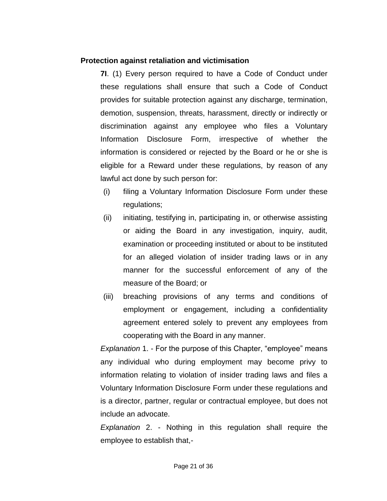#### **Protection against retaliation and victimisation**

**7I**. (1) Every person required to have a Code of Conduct under these regulations shall ensure that such a Code of Conduct provides for suitable protection against any discharge, termination, demotion, suspension, threats, harassment, directly or indirectly or discrimination against any employee who files a Voluntary Information Disclosure Form, irrespective of whether the information is considered or rejected by the Board or he or she is eligible for a Reward under these regulations, by reason of any lawful act done by such person for:

- (i) filing a Voluntary Information Disclosure Form under these regulations;
- (ii) initiating, testifying in, participating in, or otherwise assisting or aiding the Board in any investigation, inquiry, audit, examination or proceeding instituted or about to be instituted for an alleged violation of insider trading laws or in any manner for the successful enforcement of any of the measure of the Board; or
- (iii) breaching provisions of any terms and conditions of employment or engagement, including a confidentiality agreement entered solely to prevent any employees from cooperating with the Board in any manner.

*Explanation* 1. - For the purpose of this Chapter, "employee" means any individual who during employment may become privy to information relating to violation of insider trading laws and files a Voluntary Information Disclosure Form under these regulations and is a director, partner, regular or contractual employee, but does not include an advocate.

*Explanation* 2. - Nothing in this regulation shall require the employee to establish that,-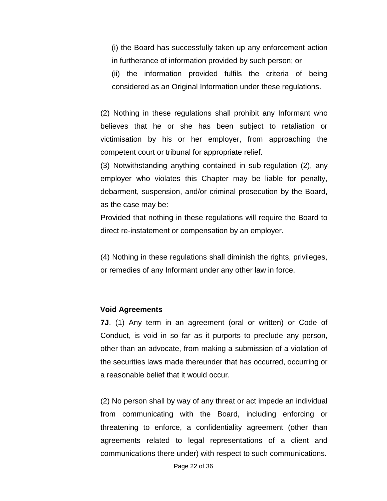(i) the Board has successfully taken up any enforcement action in furtherance of information provided by such person; or

(ii) the information provided fulfils the criteria of being considered as an Original Information under these regulations.

(2) Nothing in these regulations shall prohibit any Informant who believes that he or she has been subject to retaliation or victimisation by his or her employer, from approaching the competent court or tribunal for appropriate relief.

(3) Notwithstanding anything contained in sub-regulation (2), any employer who violates this Chapter may be liable for penalty, debarment, suspension, and/or criminal prosecution by the Board, as the case may be:

Provided that nothing in these regulations will require the Board to direct re-instatement or compensation by an employer.

(4) Nothing in these regulations shall diminish the rights, privileges, or remedies of any Informant under any other law in force.

#### **Void Agreements**

**7J**. (1) Any term in an agreement (oral or written) or Code of Conduct, is void in so far as it purports to preclude any person, other than an advocate, from making a submission of a violation of the securities laws made thereunder that has occurred, occurring or a reasonable belief that it would occur.

(2) No person shall by way of any threat or act impede an individual from communicating with the Board, including enforcing or threatening to enforce, a confidentiality agreement (other than agreements related to legal representations of a client and communications there under) with respect to such communications.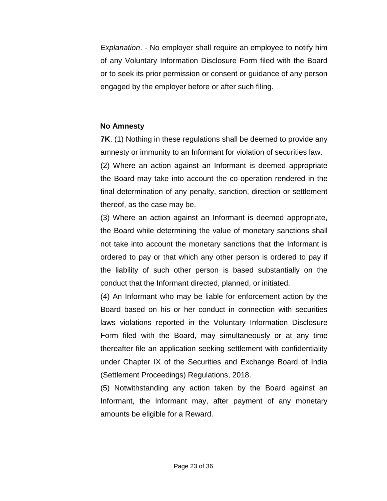*Explanation*. - No employer shall require an employee to notify him of any Voluntary Information Disclosure Form filed with the Board or to seek its prior permission or consent or guidance of any person engaged by the employer before or after such filing.

#### **No Amnesty**

**7K.** (1) Nothing in these regulations shall be deemed to provide any amnesty or immunity to an Informant for violation of securities law. (2) Where an action against an Informant is deemed appropriate the Board may take into account the co-operation rendered in the final determination of any penalty, sanction, direction or settlement thereof, as the case may be.

(3) Where an action against an Informant is deemed appropriate, the Board while determining the value of monetary sanctions shall not take into account the monetary sanctions that the Informant is ordered to pay or that which any other person is ordered to pay if the liability of such other person is based substantially on the conduct that the Informant directed, planned, or initiated.

(4) An Informant who may be liable for enforcement action by the Board based on his or her conduct in connection with securities laws violations reported in the Voluntary Information Disclosure Form filed with the Board, may simultaneously or at any time thereafter file an application seeking settlement with confidentiality under Chapter IX of the Securities and Exchange Board of India (Settlement Proceedings) Regulations, 2018.

(5) Notwithstanding any action taken by the Board against an Informant, the Informant may, after payment of any monetary amounts be eligible for a Reward.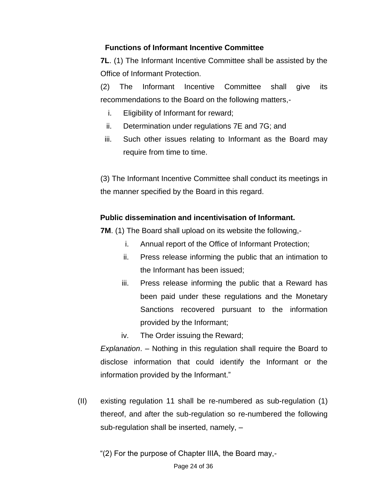## **Functions of Informant Incentive Committee**

**7L**. (1) The Informant Incentive Committee shall be assisted by the Office of Informant Protection.

(2) The Informant Incentive Committee shall give its recommendations to the Board on the following matters,-

- i. Eligibility of Informant for reward;
- ii. Determination under regulations 7E and 7G; and
- iii. Such other issues relating to Informant as the Board may require from time to time.

(3) The Informant Incentive Committee shall conduct its meetings in the manner specified by the Board in this regard.

#### **Public dissemination and incentivisation of Informant.**

**7M**. (1) The Board shall upload on its website the following,-

- i. Annual report of the Office of Informant Protection;
- ii. Press release informing the public that an intimation to the Informant has been issued;
- iii. Press release informing the public that a Reward has been paid under these regulations and the Monetary Sanctions recovered pursuant to the information provided by the Informant;

iv. The Order issuing the Reward;

*Explanation*. – Nothing in this regulation shall require the Board to disclose information that could identify the Informant or the information provided by the Informant."

(II) existing regulation 11 shall be re-numbered as sub-regulation (1) thereof, and after the sub-regulation so re-numbered the following sub-regulation shall be inserted, namely, –

"(2) For the purpose of Chapter IIIA, the Board may,-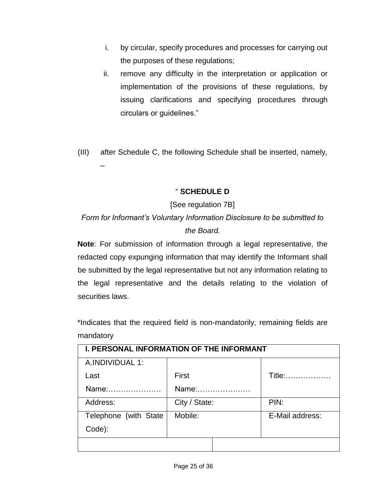- i. by circular, specify procedures and processes for carrying out the purposes of these regulations;
- ii. remove any difficulty in the interpretation or application or implementation of the provisions of these regulations, by issuing clarifications and specifying procedures through circulars or guidelines."
- (III) after Schedule C, the following Schedule shall be inserted, namely,

–

## " **SCHEDULE D**

## [See regulation 7B]

## *Form for Informant's Voluntary Information Disclosure to be submitted to the Board.*

**Note**: For submission of information through a legal representative, the redacted copy expunging information that may identify the Informant shall be submitted by the legal representative but not any information relating to the legal representative and the details relating to the violation of securities laws.

\*Indicates that the required field is non-mandatorily, remaining fields are mandatory

| <b>I. PERSONAL INFORMATION OF THE INFORMANT</b> |               |                 |  |
|-------------------------------------------------|---------------|-----------------|--|
| A.INDIVIDUAL 1:                                 |               |                 |  |
| Last                                            | First         | Title:          |  |
| Name:                                           | Name:         |                 |  |
| Address:                                        | City / State: | PIN:            |  |
| Telephone (with State)                          | Mobile:       | E-Mail address: |  |
| Code):                                          |               |                 |  |
|                                                 |               |                 |  |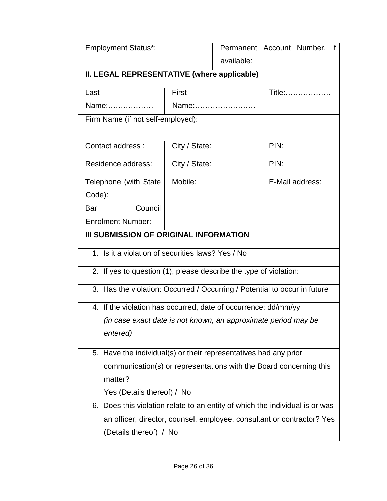| <b>Employment Status*:</b>                                                   |                                                                        |       | Permanent Account Number, if |  |  |
|------------------------------------------------------------------------------|------------------------------------------------------------------------|-------|------------------------------|--|--|
|                                                                              | available:                                                             |       |                              |  |  |
| II. LEGAL REPRESENTATIVE (where applicable)                                  |                                                                        |       |                              |  |  |
| Last                                                                         | First<br>Title:                                                        |       |                              |  |  |
| Name:                                                                        |                                                                        | Name: |                              |  |  |
| Firm Name (if not self-employed):                                            |                                                                        |       |                              |  |  |
| Contact address :                                                            | City / State:                                                          |       | PIN:                         |  |  |
| Residence address:                                                           | City / State:                                                          |       | PIN:                         |  |  |
| Telephone (with State                                                        | Mobile:                                                                |       | E-Mail address:              |  |  |
| Code):                                                                       |                                                                        |       |                              |  |  |
| Council<br>Bar                                                               |                                                                        |       |                              |  |  |
| <b>Enrolment Number:</b>                                                     |                                                                        |       |                              |  |  |
| <b>III SUBMISSION OF ORIGINAL INFORMATION</b>                                |                                                                        |       |                              |  |  |
| 1. Is it a violation of securities laws? Yes / No                            |                                                                        |       |                              |  |  |
| 2. If yes to question (1), please describe the type of violation:            |                                                                        |       |                              |  |  |
| 3. Has the violation: Occurred / Occurring / Potential to occur in future    |                                                                        |       |                              |  |  |
| 4. If the violation has occurred, date of occurrence: dd/mm/yy               |                                                                        |       |                              |  |  |
| (in case exact date is not known, an approximate period may be               |                                                                        |       |                              |  |  |
| entered)                                                                     |                                                                        |       |                              |  |  |
| 5. Have the individual(s) or their representatives had any prior             |                                                                        |       |                              |  |  |
| communication(s) or representations with the Board concerning this           |                                                                        |       |                              |  |  |
| matter?                                                                      |                                                                        |       |                              |  |  |
| Yes (Details thereof) / No                                                   |                                                                        |       |                              |  |  |
| 6. Does this violation relate to an entity of which the individual is or was |                                                                        |       |                              |  |  |
|                                                                              | an officer, director, counsel, employee, consultant or contractor? Yes |       |                              |  |  |
| (Details thereof) / No                                                       |                                                                        |       |                              |  |  |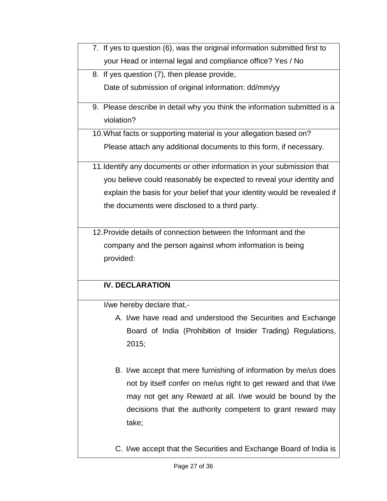- 7. If yes to question (6), was the original information submitted first to your Head or internal legal and compliance office? Yes / No
- 8. If yes question (7), then please provide,

Date of submission of original information: dd/mm/yy

- 9. Please describe in detail why you think the information submitted is a violation?
- 10.What facts or supporting material is your allegation based on? Please attach any additional documents to this form, if necessary.
- 11.Identify any documents or other information in your submission that you believe could reasonably be expected to reveal your identity and explain the basis for your belief that your identity would be revealed if the documents were disclosed to a third party.
- 12.Provide details of connection between the Informant and the company and the person against whom information is being provided:

## **IV. DECLARATION**

I/we hereby declare that,-

- A. I/we have read and understood the Securities and Exchange Board of India (Prohibition of Insider Trading) Regulations, 2015;
- B. I/we accept that mere furnishing of information by me/us does not by itself confer on me/us right to get reward and that I/we may not get any Reward at all. I/we would be bound by the decisions that the authority competent to grant reward may take;
- C. I/we accept that the Securities and Exchange Board of India is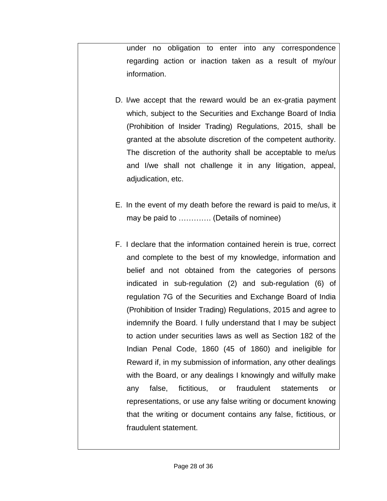under no obligation to enter into any correspondence regarding action or inaction taken as a result of my/our information.

- D. I/we accept that the reward would be an ex-gratia payment which, subject to the Securities and Exchange Board of India (Prohibition of Insider Trading) Regulations, 2015, shall be granted at the absolute discretion of the competent authority. The discretion of the authority shall be acceptable to me/us and I/we shall not challenge it in any litigation, appeal, adjudication, etc.
- E. In the event of my death before the reward is paid to me/us, it may be paid to …………. (Details of nominee)
- F. I declare that the information contained herein is true, correct and complete to the best of my knowledge, information and belief and not obtained from the categories of persons indicated in sub-regulation (2) and sub-regulation (6) of regulation 7G of the Securities and Exchange Board of India (Prohibition of Insider Trading) Regulations, 2015 and agree to indemnify the Board. I fully understand that I may be subject to action under securities laws as well as Section 182 of the Indian Penal Code, 1860 (45 of 1860) and ineligible for Reward if, in my submission of information, any other dealings with the Board, or any dealings I knowingly and wilfully make any false, fictitious, or fraudulent statements or representations, or use any false writing or document knowing that the writing or document contains any false, fictitious, or fraudulent statement.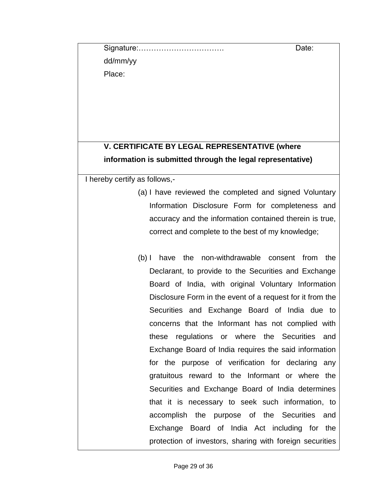Signature:……………………………. Date:

dd/mm/yy

Place:

## **V. CERTIFICATE BY LEGAL REPRESENTATIVE (where information is submitted through the legal representative)**

I hereby certify as follows,-

- (a) I have reviewed the completed and signed Voluntary Information Disclosure Form for completeness and accuracy and the information contained therein is true, correct and complete to the best of my knowledge;
- (b) I have the non-withdrawable consent from the Declarant, to provide to the Securities and Exchange Board of India, with original Voluntary Information Disclosure Form in the event of a request for it from the Securities and Exchange Board of India due to concerns that the Informant has not complied with these regulations or where the Securities and Exchange Board of India requires the said information for the purpose of verification for declaring any gratuitous reward to the Informant or where the Securities and Exchange Board of India determines that it is necessary to seek such information, to accomplish the purpose of the Securities and Exchange Board of India Act including for the protection of investors, sharing with foreign securities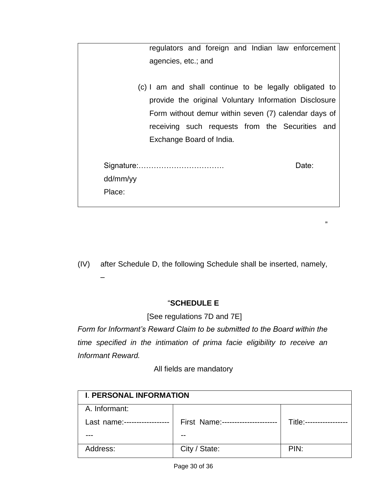|          |                          |  |  | regulators and foreign and Indian law enforcement      |  |
|----------|--------------------------|--|--|--------------------------------------------------------|--|
|          | agencies, etc.; and      |  |  |                                                        |  |
|          |                          |  |  |                                                        |  |
|          |                          |  |  | (c) I am and shall continue to be legally obligated to |  |
|          |                          |  |  | provide the original Voluntary Information Disclosure  |  |
|          |                          |  |  | Form without demur within seven (7) calendar days of   |  |
|          |                          |  |  | receiving such requests from the Securities and        |  |
|          | Exchange Board of India. |  |  |                                                        |  |
|          |                          |  |  |                                                        |  |
|          |                          |  |  | Date:                                                  |  |
| dd/mm/yy |                          |  |  |                                                        |  |
| Place:   |                          |  |  |                                                        |  |
|          |                          |  |  |                                                        |  |

(IV) after Schedule D, the following Schedule shall be inserted, namely, –

"

## "**SCHEDULE E**

[See regulations 7D and 7E]

*Form for Informant's Reward Claim to be submitted to the Board within the time specified in the intimation of prima facie eligibility to receive an Informant Reward.*

All fields are mandatory

| <b>I. PERSONAL INFORMATION</b> |                               |           |
|--------------------------------|-------------------------------|-----------|
| A. Informant:                  |                               |           |
| Last name:------               | First Name:------------------ | Title:--- |
|                                | --                            |           |
| Address:                       | City / State:                 | PIN:      |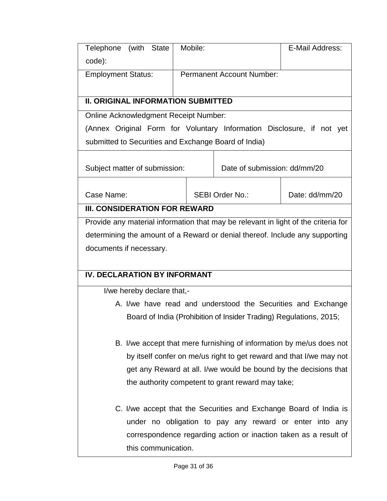| Telephone (with State                                                              | Mobile: |  |                                                                      | E-Mail Address: |
|------------------------------------------------------------------------------------|---------|--|----------------------------------------------------------------------|-----------------|
| code):                                                                             |         |  |                                                                      |                 |
| <b>Employment Status:</b>                                                          |         |  | <b>Permanent Account Number:</b>                                     |                 |
|                                                                                    |         |  |                                                                      |                 |
| <b>II. ORIGINAL INFORMATION SUBMITTED</b>                                          |         |  |                                                                      |                 |
| <b>Online Acknowledgment Receipt Number:</b>                                       |         |  |                                                                      |                 |
| (Annex Original Form for Voluntary Information Disclosure, if not yet              |         |  |                                                                      |                 |
| submitted to Securities and Exchange Board of India)                               |         |  |                                                                      |                 |
|                                                                                    |         |  |                                                                      |                 |
| Subject matter of submission:                                                      |         |  | Date of submission: dd/mm/20                                         |                 |
|                                                                                    |         |  |                                                                      |                 |
| Case Name:                                                                         |         |  | <b>SEBI Order No.:</b>                                               | Date: dd/mm/20  |
| <b>III. CONSIDERATION FOR REWARD</b>                                               |         |  |                                                                      |                 |
| Provide any material information that may be relevant in light of the criteria for |         |  |                                                                      |                 |
| determining the amount of a Reward or denial thereof. Include any supporting       |         |  |                                                                      |                 |
| documents if necessary.                                                            |         |  |                                                                      |                 |
|                                                                                    |         |  |                                                                      |                 |
| <b>IV. DECLARATION BY INFORMANT</b>                                                |         |  |                                                                      |                 |
| I/we hereby declare that,-                                                         |         |  |                                                                      |                 |
| A. I/we have read and understood the Securities and Exchange                       |         |  |                                                                      |                 |
| Board of India (Prohibition of Insider Trading) Regulations, 2015;                 |         |  |                                                                      |                 |
|                                                                                    |         |  |                                                                      |                 |
|                                                                                    |         |  | B. I/we accept that mere furnishing of information by me/us does not |                 |
| by itself confer on me/us right to get reward and that I/we may not                |         |  |                                                                      |                 |
| get any Reward at all. I/we would be bound by the decisions that                   |         |  |                                                                      |                 |
|                                                                                    |         |  | the authority competent to grant reward may take;                    |                 |
|                                                                                    |         |  |                                                                      |                 |
| C. I/we accept that the Securities and Exchange Board of India is                  |         |  |                                                                      |                 |
|                                                                                    |         |  | under no obligation to pay any reward or enter into any              |                 |
| correspondence regarding action or inaction taken as a result of                   |         |  |                                                                      |                 |
| this communication.                                                                |         |  |                                                                      |                 |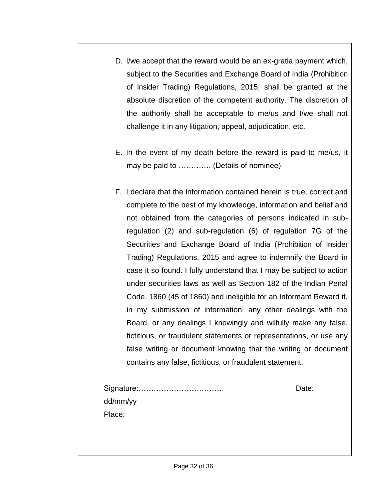- D. I/we accept that the reward would be an ex-gratia payment which, subject to the Securities and Exchange Board of India (Prohibition of Insider Trading) Regulations, 2015, shall be granted at the absolute discretion of the competent authority. The discretion of the authority shall be acceptable to me/us and I/we shall not challenge it in any litigation, appeal, adjudication, etc.
- E. In the event of my death before the reward is paid to me/us, it may be paid to …………. (Details of nominee)
- F. I declare that the information contained herein is true, correct and complete to the best of my knowledge, information and belief and not obtained from the categories of persons indicated in subregulation (2) and sub-regulation (6) of regulation 7G of the Securities and Exchange Board of India (Prohibition of Insider Trading) Regulations, 2015 and agree to indemnify the Board in case it so found. I fully understand that I may be subject to action under securities laws as well as Section 182 of the Indian Penal Code, 1860 (45 of 1860) and ineligible for an Informant Reward if, in my submission of information, any other dealings with the Board, or any dealings I knowingly and wilfully make any false, fictitious, or fraudulent statements or representations, or use any false writing or document knowing that the writing or document contains any false, fictitious, or fraudulent statement.

|          | Date: |
|----------|-------|
| dd/mm/yy |       |
| Place:   |       |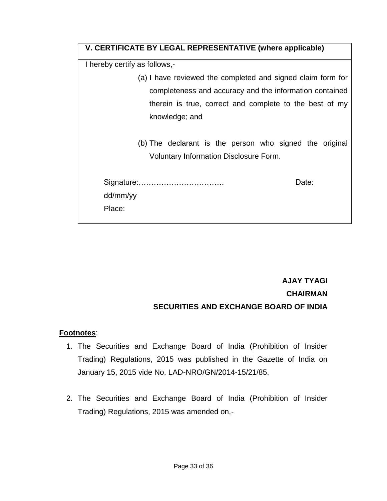| V. CERTIFICATE BY LEGAL REPRESENTATIVE (where applicable)                                                |  |  |
|----------------------------------------------------------------------------------------------------------|--|--|
| I hereby certify as follows,-                                                                            |  |  |
| (a) I have reviewed the completed and signed claim form for                                              |  |  |
| completeness and accuracy and the information contained                                                  |  |  |
| therein is true, correct and complete to the best of my                                                  |  |  |
| knowledge; and                                                                                           |  |  |
| (b) The declarant is the person who signed the original<br><b>Voluntary Information Disclosure Form.</b> |  |  |
| Date:<br>dd/mm/yy<br>Place:                                                                              |  |  |

# **AJAY TYAGI CHAIRMAN SECURITIES AND EXCHANGE BOARD OF INDIA**

## **Footnotes**:

- 1. The Securities and Exchange Board of India (Prohibition of Insider Trading) Regulations, 2015 was published in the Gazette of India on January 15, 2015 vide No. LAD-NRO/GN/2014-15/21/85.
- 2. The Securities and Exchange Board of India (Prohibition of Insider Trading) Regulations, 2015 was amended on,-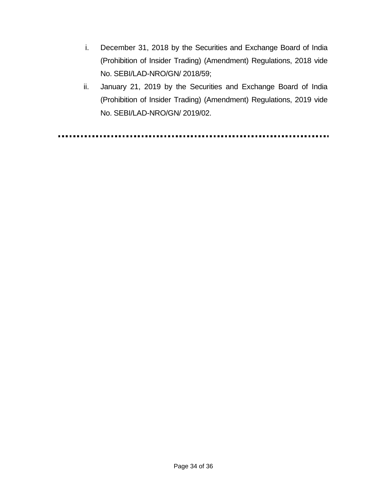- i. December 31, 2018 by the Securities and Exchange Board of India (Prohibition of Insider Trading) (Amendment) Regulations, 2018 vide No. SEBI/LAD-NRO/GN/ 2018/59;
- ii. January 21, 2019 by the Securities and Exchange Board of India (Prohibition of Insider Trading) (Amendment) Regulations, 2019 vide No. SEBI/LAD-NRO/GN/ 2019/02.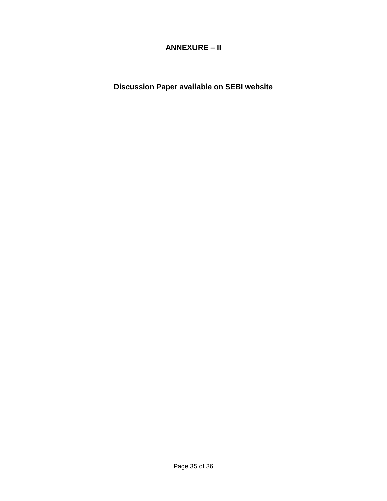## **ANNEXURE – II**

**Discussion Paper available on SEBI website**